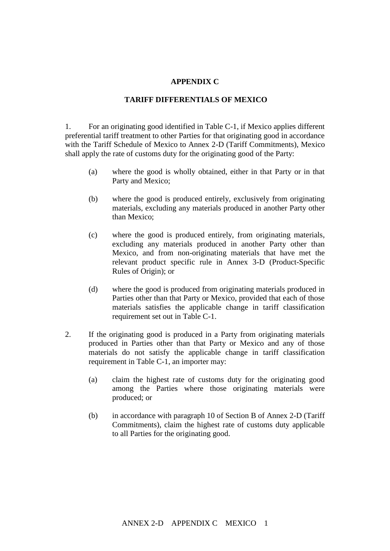## **APPENDIX C**

## **TARIFF DIFFERENTIALS OF MEXICO**

1. For an originating good identified in Table C-1, if Mexico applies different preferential tariff treatment to other Parties for that originating good in accordance with the Tariff Schedule of Mexico to Annex 2-D (Tariff Commitments), Mexico shall apply the rate of customs duty for the originating good of the Party:

- (a) where the good is wholly obtained, either in that Party or in that Party and Mexico;
- (b) where the good is produced entirely, exclusively from originating materials, excluding any materials produced in another Party other than Mexico;
- (c) where the good is produced entirely, from originating materials, excluding any materials produced in another Party other than Mexico, and from non-originating materials that have met the relevant product specific rule in Annex 3-D (Product-Specific Rules of Origin); or
- (d) where the good is produced from originating materials produced in Parties other than that Party or Mexico, provided that each of those materials satisfies the applicable change in tariff classification requirement set out in Table C-1.
- 2. If the originating good is produced in a Party from originating materials produced in Parties other than that Party or Mexico and any of those materials do not satisfy the applicable change in tariff classification requirement in Table C-1, an importer may:
	- (a) claim the highest rate of customs duty for the originating good among the Parties where those originating materials were produced; or
	- (b) in accordance with paragraph 10 of Section B of Annex 2-D (Tariff Commitments), claim the highest rate of customs duty applicable to all Parties for the originating good.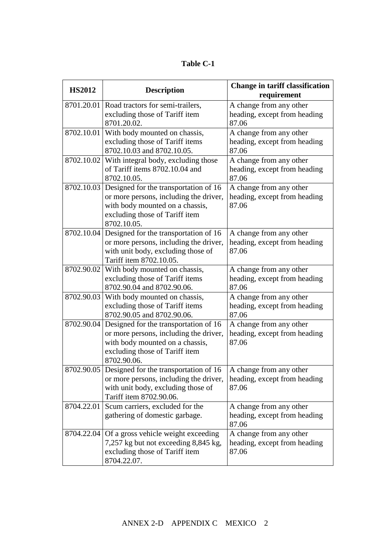| <b>Table C-1</b> |  |  |  |  |
|------------------|--|--|--|--|
|------------------|--|--|--|--|

| <b>HS2012</b> | <b>Description</b>                                                                                                                                                  | <b>Change in tariff classification</b><br>requirement            |
|---------------|---------------------------------------------------------------------------------------------------------------------------------------------------------------------|------------------------------------------------------------------|
| 8701.20.01    | Road tractors for semi-trailers,<br>excluding those of Tariff item<br>8701.20.02.                                                                                   | A change from any other<br>heading, except from heading<br>87.06 |
| 8702.10.01    | With body mounted on chassis,<br>excluding those of Tariff items<br>8702.10.03 and 8702.10.05.                                                                      | A change from any other<br>heading, except from heading<br>87.06 |
| 8702.10.02    | With integral body, excluding those<br>of Tariff items 8702.10.04 and<br>8702.10.05.                                                                                | A change from any other<br>heading, except from heading<br>87.06 |
| 8702.10.03    | Designed for the transportation of 16<br>or more persons, including the driver,<br>with body mounted on a chassis,<br>excluding those of Tariff item<br>8702.10.05. | A change from any other<br>heading, except from heading<br>87.06 |
| 8702.10.04    | Designed for the transportation of 16<br>or more persons, including the driver,<br>with unit body, excluding those of<br>Tariff item 8702.10.05.                    | A change from any other<br>heading, except from heading<br>87.06 |
| 8702.90.02    | With body mounted on chassis,<br>excluding those of Tariff items<br>8702.90.04 and 8702.90.06.                                                                      | A change from any other<br>heading, except from heading<br>87.06 |
| 8702.90.03    | With body mounted on chassis,<br>excluding those of Tariff items<br>8702.90.05 and 8702.90.06.                                                                      | A change from any other<br>heading, except from heading<br>87.06 |
| 8702.90.04    | Designed for the transportation of 16<br>or more persons, including the driver,<br>with body mounted on a chassis,<br>excluding those of Tariff item<br>8702.90.06. | A change from any other<br>heading, except from heading<br>87.06 |
|               | 8702.90.05 Designed for the transportation of 16<br>or more persons, including the driver,<br>with unit body, excluding those of<br>Tariff item 8702.90.06.         | A change from any other<br>heading, except from heading<br>87.06 |
| 8704.22.01    | Scum carriers, excluded for the<br>gathering of domestic garbage.                                                                                                   | A change from any other<br>heading, except from heading<br>87.06 |
| 8704.22.04    | Of a gross vehicle weight exceeding<br>7,257 kg but not exceeding 8,845 kg,<br>excluding those of Tariff item<br>8704.22.07.                                        | A change from any other<br>heading, except from heading<br>87.06 |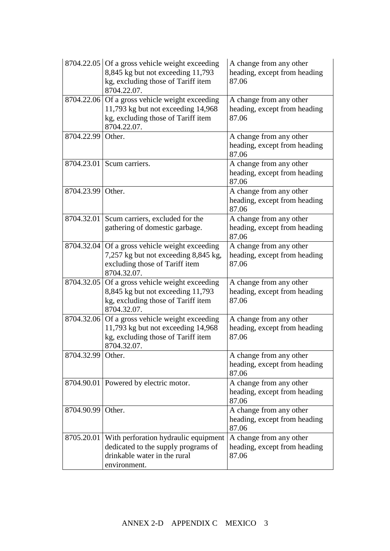|            | 8704.22.05 Of a gross vehicle weight exceeding<br>8,845 kg but not exceeding 11,793<br>kg, excluding those of Tariff item<br>8704.22.07.    | A change from any other<br>heading, except from heading<br>87.06 |  |
|------------|---------------------------------------------------------------------------------------------------------------------------------------------|------------------------------------------------------------------|--|
|            | $8704.22.06$ Of a gross vehicle weight exceeding<br>11,793 kg but not exceeding 14,968<br>kg, excluding those of Tariff item<br>8704.22.07. | A change from any other<br>heading, except from heading<br>87.06 |  |
| 8704.22.99 | Other.                                                                                                                                      | A change from any other<br>heading, except from heading<br>87.06 |  |
|            | 8704.23.01 Scum carriers.                                                                                                                   | A change from any other<br>heading, except from heading<br>87.06 |  |
| 8704.23.99 | Other.                                                                                                                                      | A change from any other<br>heading, except from heading<br>87.06 |  |
| 8704.32.01 | Scum carriers, excluded for the<br>gathering of domestic garbage.                                                                           | A change from any other<br>heading, except from heading<br>87.06 |  |
| 8704.32.04 | Of a gross vehicle weight exceeding<br>7,257 kg but not exceeding 8,845 kg,<br>excluding those of Tariff item<br>8704.32.07.                | A change from any other<br>heading, except from heading<br>87.06 |  |
| 8704.32.05 | Of a gross vehicle weight exceeding<br>8,845 kg but not exceeding 11,793<br>kg, excluding those of Tariff item<br>8704.32.07.               | A change from any other<br>heading, except from heading<br>87.06 |  |
| 8704.32.06 | Of a gross vehicle weight exceeding<br>11,793 kg but not exceeding 14,968<br>kg, excluding those of Tariff item<br>8704.32.07.              | A change from any other<br>heading, except from heading<br>87.06 |  |
| 8704.32.99 | Other.                                                                                                                                      | A change from any other<br>heading, except from heading<br>87.06 |  |
|            | 8704.90.01 Powered by electric motor.                                                                                                       | A change from any other<br>heading, except from heading<br>87.06 |  |
| 8704.90.99 | Other.                                                                                                                                      | A change from any other<br>heading, except from heading<br>87.06 |  |
| 8705.20.01 | With perforation hydraulic equipment<br>dedicated to the supply programs of<br>drinkable water in the rural<br>environment.                 | A change from any other<br>heading, except from heading<br>87.06 |  |